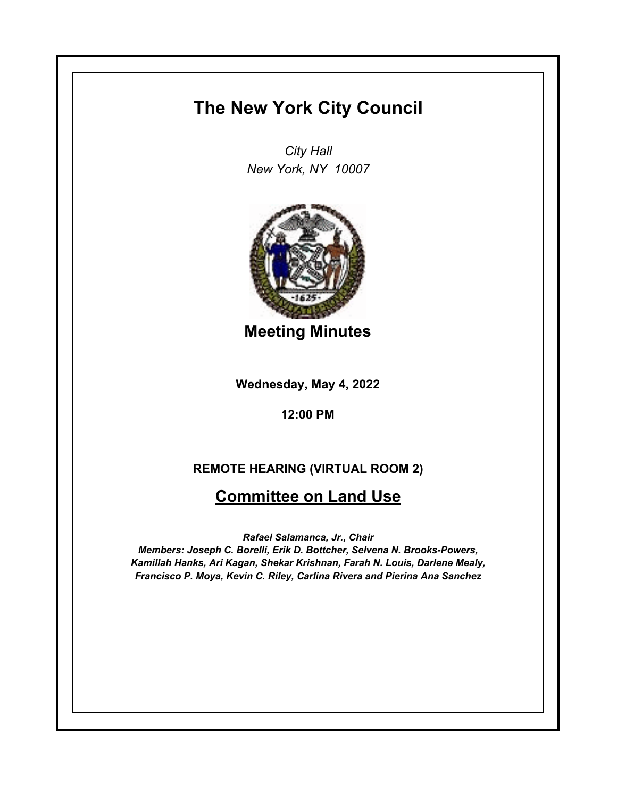## **The New York City Council**

*City Hall New York, NY 10007*



**Meeting Minutes**

**Wednesday, May 4, 2022**

**12:00 PM**

## **REMOTE HEARING (VIRTUAL ROOM 2)**

## **Committee on Land Use**

*Rafael Salamanca, Jr., Chair*

*Members: Joseph C. Borelli, Erik D. Bottcher, Selvena N. Brooks-Powers, Kamillah Hanks, Ari Kagan, Shekar Krishnan, Farah N. Louis, Darlene Mealy, Francisco P. Moya, Kevin C. Riley, Carlina Rivera and Pierina Ana Sanchez*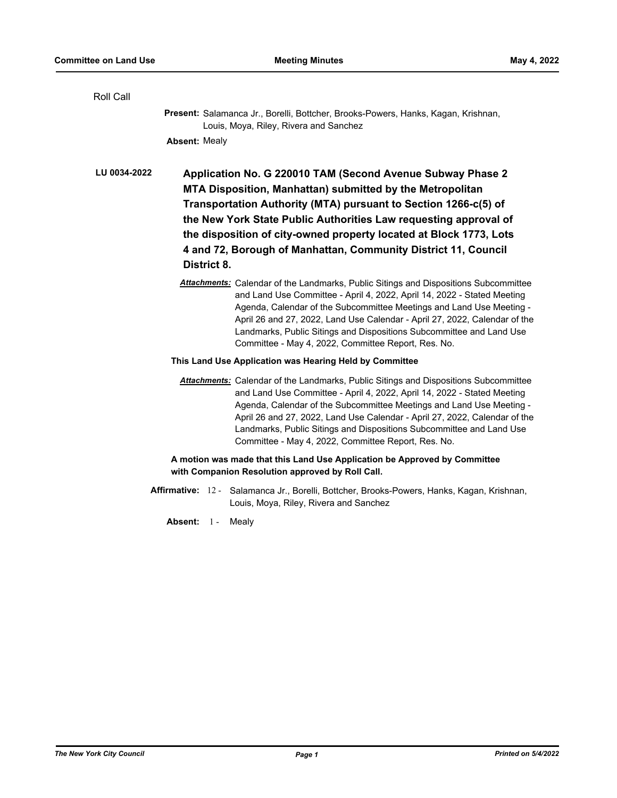| Roll Call                                                                                                                     |                                                                                                                                                                                                                                                                                                                                                                                                                                                             |
|-------------------------------------------------------------------------------------------------------------------------------|-------------------------------------------------------------------------------------------------------------------------------------------------------------------------------------------------------------------------------------------------------------------------------------------------------------------------------------------------------------------------------------------------------------------------------------------------------------|
|                                                                                                                               | Present: Salamanca Jr., Borelli, Bottcher, Brooks-Powers, Hanks, Kagan, Krishnan,<br>Louis, Moya, Riley, Rivera and Sanchez                                                                                                                                                                                                                                                                                                                                 |
|                                                                                                                               | <b>Absent: Mealy</b>                                                                                                                                                                                                                                                                                                                                                                                                                                        |
| LU 0034-2022                                                                                                                  | Application No. G 220010 TAM (Second Avenue Subway Phase 2<br>MTA Disposition, Manhattan) submitted by the Metropolitan<br>Transportation Authority (MTA) pursuant to Section 1266-c(5) of<br>the New York State Public Authorities Law requesting approval of<br>the disposition of city-owned property located at Block 1773, Lots<br>4 and 72, Borough of Manhattan, Community District 11, Council<br>District 8.                                       |
|                                                                                                                               | <b>Attachments:</b> Calendar of the Landmarks, Public Sitings and Dispositions Subcommittee<br>and Land Use Committee - April 4, 2022, April 14, 2022 - Stated Meeting<br>Agenda, Calendar of the Subcommittee Meetings and Land Use Meeting -<br>April 26 and 27, 2022, Land Use Calendar - April 27, 2022, Calendar of the<br>Landmarks, Public Sitings and Dispositions Subcommittee and Land Use<br>Committee - May 4, 2022, Committee Report, Res. No. |
|                                                                                                                               | This Land Use Application was Hearing Held by Committee                                                                                                                                                                                                                                                                                                                                                                                                     |
|                                                                                                                               | <b>Attachments:</b> Calendar of the Landmarks, Public Sitings and Dispositions Subcommittee<br>and Land Use Committee - April 4, 2022, April 14, 2022 - Stated Meeting<br>Agenda, Calendar of the Subcommittee Meetings and Land Use Meeting -<br>April 26 and 27, 2022, Land Use Calendar - April 27, 2022, Calendar of the<br>Landmarks, Public Sitings and Dispositions Subcommittee and Land Use<br>Committee - May 4, 2022, Committee Report, Res. No. |
| A motion was made that this Land Use Application be Approved by Committee<br>with Companion Resolution approved by Roll Call. |                                                                                                                                                                                                                                                                                                                                                                                                                                                             |
|                                                                                                                               | Affirmative: 12 - Salamanca Jr., Borelli, Bottcher, Brooks-Powers, Hanks, Kagan, Krishnan,<br>Louis, Moya, Riley, Rivera and Sanchez                                                                                                                                                                                                                                                                                                                        |
|                                                                                                                               | Absent: 1 -<br>Mealy                                                                                                                                                                                                                                                                                                                                                                                                                                        |